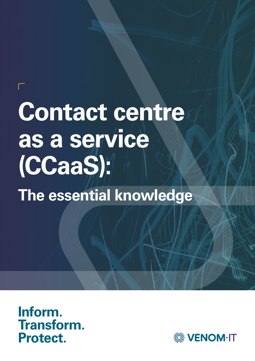# **Contact centre as a service (CCaaS):**

**1 Venom IT.** Your Guide to Smarter Cyber Security Solutions

**The essential knowledge**



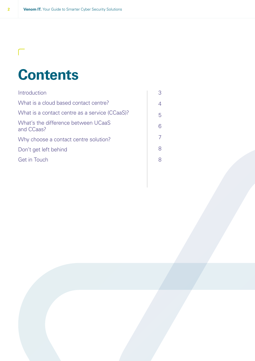# **Contents**

| Introduction                                      | 3  |
|---------------------------------------------------|----|
| What is a cloud based contact centre?             | 4  |
| What is a contact centre as a service (CCaaS)?    | 5. |
| What's the difference between UCaaS<br>and CCaas? | 6  |
| Why choose a contact centre solution?             |    |
| Don't get left behind                             | 8  |
| Get in Touch                                      | 8  |
|                                                   |    |

 $\Box$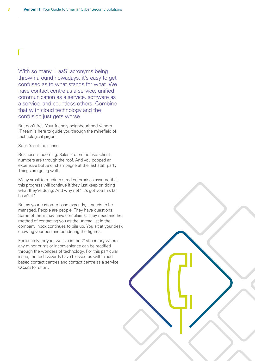With so many '...aaS' acronyms being thrown around nowadays, it's easy to get confused as to what stands for what. We have contact centre as a service, unified communication as a service, software as a service, and countless others. Combine that with cloud technology and the confusion just gets worse.

But don't fret. Your friendly neighbourhood Venom IT team is here to guide you through the minefield of technological jargon.

So let's set the scene.

Business is booming. Sales are on the rise. Client numbers are through the roof. And you popped an expensive bottle of champagne at the last staff party. Things are going well.

Many small to medium sized enterprises assume that this progress will continue if they just keep on doing what they're doing. And why not? It's got you this far, hasn't it?

But as your customer base expands, it needs to be managed. People are people. They have questions. Some of them may have complaints. They need another method of contacting you as the unread list in the company inbox continues to pile up. You sit at your desk chewing your pen and pondering the figures.

Fortunately for you, we live in the 21st century where any minor or major inconvenience can be rectified through the wonders of technology. For this particular issue, the tech wizards have blessed us with cloud based contact centres and contact centre as a service. CCaaS for short.

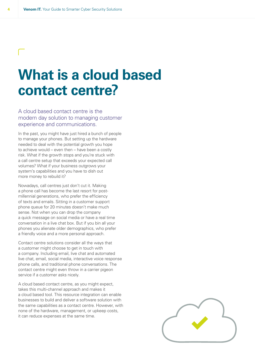### **What is a cloud based contact centre?**

A cloud based contact centre is the modern day solution to managing customer experience and communications.

In the past, you might have just hired a bunch of people to manage your phones. But setting up the hardware needed to deal with the potential growth you hope to achieve would – even then – have been a costly risk. What if the growth stops and you're stuck with a call centre setup that exceeds your expected call volumes? What if your business outgrows your system's capabilities and you have to dish out more money to rebuild it?

Nowadays, call centres just don't cut it. Making a phone call has become the last resort for postmillennial generations, who prefer the efficiency of texts and emails. Sitting in a customer support phone queue for 20 minutes doesn't make much sense. Not when you can drop the company a quick message on social media or have a real time conversation in a live chat box. But if you bin all your phones you alienate older demographics, who prefer a friendly voice and a more personal approach.

Contact centre solutions consider all the ways that a customer might choose to get in touch with a company. Including email, live chat and automated live chat, email, social media, interactive voice response phone calls, and traditional phone conversations. The contact centre might even throw in a carrier pigeon service if a customer asks nicely.

A cloud based contact centre, as you might expect, takes this multi-channel approach and makes it a cloud based tool. This resource integration can enable businesses to build and deliver a software solution with the same capabilities as a contact centre. However, with none of the hardware, management, or upkeep costs, it can reduce expenses at the same time.

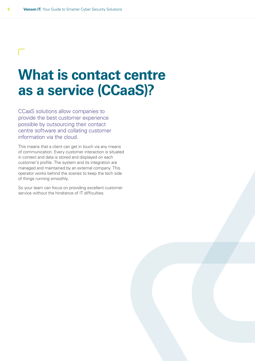### **What is contact centre as a service (CCaaS)?**

CCaaS solutions allow companies to provide the best customer experience possible by outsourcing their contact centre software and collating customer information via the cloud.

This means that a client can get in touch via any means of communication. Every customer interaction is situated in context and data is stored and displayed on each customer's profile. The system and its integration are managed and maintained by an external company. This operator works behind the scenes to keep the tech side of things running smoothly.

So your team can focus on providing excellent customer service without the hindrance of IT difficulties.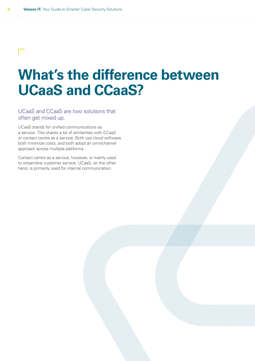### $\mathbf{L}$

## **What's the difference between UCaaS and CCaaS?**

### UCaaS and CCaaS are two solutions that often get mixed up.

UCaaS stands for unified communications as a service. This shares a lot of similarities with CCaaS or contact centre as a service. Both use cloud software, both minimize costs, and both adopt an omnichannel approach across multiple platforms.

Contact centre as a service, however, is mainly used to streamline customer service. UCaaS, on the other hand, is primarily used for internal communication.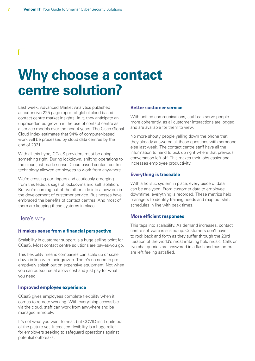### **Why choose a contact centre solution?**

Last week, Advanced Market Analytics published an extensive 225 page report of global cloud based contact centre market insights. In it, they anticipate an unprecedented growth in the use of contact centre as a service models over the next 4 years. The Cisco Global Cloud Index estimates that 94% of computer-based work will be processed by cloud data centres by the end of 2021.

With all this hype, CCaaS providers must be doing something right. During lockdown, shifting operations to the cloud just made sense. Cloud based contact centre technology allowed employees to work from anywhere.

We're crossing our fingers and cautiously emerging from this tedious saga of lockdowns and self isolation. But we're coming out of the other side into a new era in the development of customer service. Businesses have embraced the benefits of contact centres. And most of them are keeping these systems in place.

### Here's why:

#### **It makes sense from a financial perspective**

Scalability in customer support is a huge selling point for CCaaS. Most contact centre solutions are pay-as-you go.

This flexibility means companies can scale up or scale down in line with their growth. There's no need to preemptively splash out on expensive equipment. Not when you can outsource at a low cost and just pay for what you need.

#### **Improved employee experience**

CCaaS gives employees complete flexibility when it comes to remote working. With everything accessible via the cloud, staff can work from anywhere and be managed remotely.

It's not what you want to hear, but COVID isn't quite out of the picture yet. Increased flexibility is a huge relief for employers seeking to safeguard operations against potential outbreaks.

### **Better customer service**

With unified communications, staff can serve people more coherently, as all customer interactions are logged and are available for them to view.

No more shouty people yelling down the phone that they already answered all these questions with someone else last week. The contact centre staff have all the information to hand to pick up right where that previous conversation left off. This makes their jobs easier and increases employee productivity.

#### **Everything is traceable**

With a holistic system in place, every piece of data can be analysed. From customer data to employee downtime, everything is recorded. These metrics help managers to identify training needs and map out shift schedules in line with peak times.

#### **More efficient responses**

This taps into scalability. As demand increases, contact centre software is scaled up. Customers don't have to rock back and forth as they suffer through the 23rd iteration of the world's most irritating hold music. Calls or live chat queries are answered in a flash and customers are left feeling satisfied.